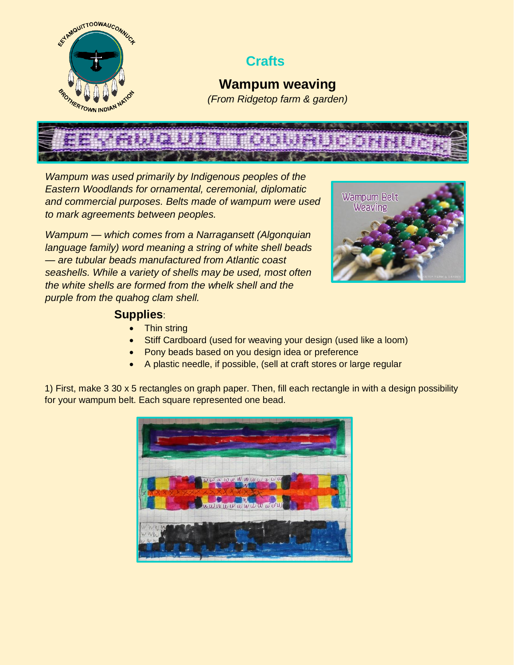

## **Crafts**

**Wampum weaving** *(From Ridgetop farm & garden)*

*Wampum was used primarily by Indigenous peoples of the Eastern Woodlands for ornamental, ceremonial, diplomatic and commercial purposes. Belts made of wampum were used to mark agreements between peoples.*

*Wampum — which comes from a Narragansett (Algonquian language family) word meaning a string of white shell beads — are tubular beads manufactured from Atlantic coast seashells. While a variety of shells may be used, most often the white shells are formed from the whelk shell and the purple from the quahog clam shell.*



## **Supplies**:

- Thin string
- Stiff Cardboard (used for weaving your design (used like a loom)
- Pony beads based on you design idea or preference
- A plastic needle, if possible, (sell at craft stores or large regular

1) First, make 3 30 x 5 rectangles on graph paper. Then, fill each rectangle in with a design possibility for your wampum belt. Each square represented one bead.